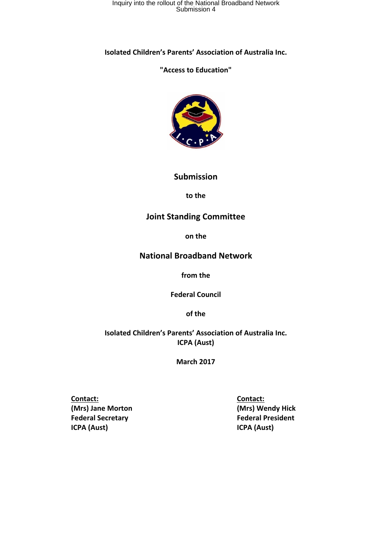**Isolated Children's Parents' Association of Australia Inc.**

## **"Access to Education"**



#### **Submission**

**to the** 

## **Joint Standing Committee**

**on the** 

## **National Broadband Network**

**from the** 

**Federal Council** 

**of the** 

**Isolated Children's Parents' Association of Australia Inc. ICPA (Aust)** 

**March 2017**

 **Contact: Contact: Contact: Contact: Contact: Contact:**  $\mathbf{C}$  **(Mrs) Jane Morton (Mrs) Wendy Hick Federal Secretary Federal President ICPA (Aust) ICPA (Aust)**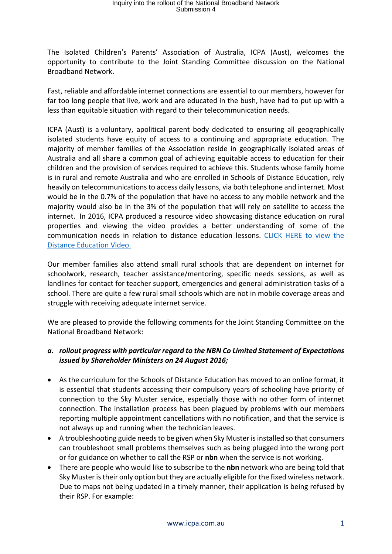The Isolated Children's Parents' Association of Australia, ICPA (Aust), welcomes the opportunity to contribute to the Joint Standing Committee discussion on the National Broadband Network.

Fast, reliable and affordable internet connections are essential to our members, however for far too long people that live, work and are educated in the bush, have had to put up with a less than equitable situation with regard to their telecommunication needs.

ICPA (Aust) is a voluntary, apolitical parent body dedicated to ensuring all geographically isolated students have equity of access to a continuing and appropriate education. The majority of member families of the Association reside in geographically isolated areas of Australia and all share a common goal of achieving equitable access to education for their children and the provision of services required to achieve this. Students whose family home is in rural and remote Australia and who are enrolled in Schools of Distance Education, rely heavily on telecommunications to access daily lessons, via both telephone and internet. Most would be in the 0.7% of the population that have no access to any mobile network and the majority would also be in the 3% of the population that will rely on satellite to access the internet. In 2016, ICPA produced a resource video showcasing distance education on rural properties and viewing the video provides a better understanding of some of the communication needs in relation to distance education lessons. CLICK HERE to view the Distance Education Video.

Our member families also attend small rural schools that are dependent on internet for schoolwork, research, teacher assistance/mentoring, specific needs sessions, as well as landlines for contact for teacher support, emergencies and general administration tasks of a school. There are quite a few rural small schools which are not in mobile coverage areas and struggle with receiving adequate internet service.

We are pleased to provide the following comments for the Joint Standing Committee on the National Broadband Network:

#### *a. rollout progress with particular regard to the NBN Co Limited Statement of Expectations issued by Shareholder Ministers on 24 August 2016;*

- As the curriculum for the Schools of Distance Education has moved to an online format, it is essential that students accessing their compulsory years of schooling have priority of connection to the Sky Muster service, especially those with no other form of internet connection. The installation process has been plagued by problems with our members reporting multiple appointment cancellations with no notification, and that the service is not always up and running when the technician leaves.
- A troubleshooting guide needs to be given when Sky Muster is installed so that consumers can troubleshoot small problems themselves such as being plugged into the wrong port or for guidance on whether to call the RSP or **nbn** when the service is not working.
- There are people who would like to subscribe to the **nbn** network who are being told that Sky Muster is their only option but they are actually eligible for the fixed wireless network. Due to maps not being updated in a timely manner, their application is being refused by their RSP. For example: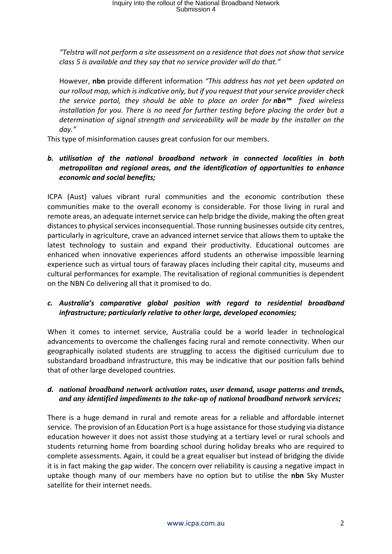*"Telstra will not perform a site assessment on a residence that does not show that service class 5 is available and they say that no service provider will do that."* 

However, **nbn** provide different information *"This address has not yet been updated on our rollout map, which is indicative only, but if you request that your service provider check the service portal, they should be able to place an order for nbn™ fixed wireless installation for you. There is no need for further testing before placing the order but a determination of signal strength and serviceability will be made by the installer on the day."* 

This type of misinformation causes great confusion for our members.

### *b. utilisation of the national broadband network in connected localities in both metropolitan and regional areas, and the identification of opportunities to enhance economic and social benefits;*

ICPA (Aust) values vibrant rural communities and the economic contribution these communities make to the overall economy is considerable. For those living in rural and remote areas, an adequate internet service can help bridge the divide, making the often great distances to physical services inconsequential. Those running businesses outside city centres, particularly in agriculture, crave an advanced internet service that allows them to uptake the latest technology to sustain and expand their productivity. Educational outcomes are enhanced when innovative experiences afford students an otherwise impossible learning experience such as virtual tours of faraway places including their capital city, museums and cultural performances for example. The revitalisation of regional communities is dependent on the NBN Co delivering all that it promised to do.

## *c. Australia's comparative global position with regard to residential broadband infrastructure; particularly relative to other large, developed economies;*

When it comes to internet service, Australia could be a world leader in technological advancements to overcome the challenges facing rural and remote connectivity. When our geographically isolated students are struggling to access the digitised curriculum due to substandard broadband infrastructure, this may be indicative that our position falls behind that of other large developed countries.

#### *d. national broadband network activation rates, user demand, usage patterns and trends, and any identified impediments to the take-up of national broadband network services;*

There is a huge demand in rural and remote areas for a reliable and affordable internet service. The provision of an Education Port is a huge assistance for those studying via distance education however it does not assist those studying at a tertiary level or rural schools and students returning home from boarding school during holiday breaks who are required to complete assessments. Again, it could be a great equaliser but instead of bridging the divide it is in fact making the gap wider. The concern over reliability is causing a negative impact in uptake though many of our members have no option but to utilise the **nbn** Sky Muster satellite for their internet needs.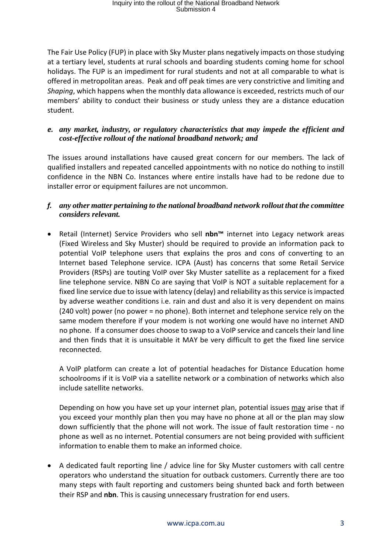The Fair Use Policy (FUP) in place with Sky Muster plans negatively impacts on those studying at a tertiary level, students at rural schools and boarding students coming home for school holidays. The FUP is an impediment for rural students and not at all comparable to what is offered in metropolitan areas. Peak and off peak times are very constrictive and limiting and *Shaping*, which happens when the monthly data allowance is exceeded, restricts much of our members' ability to conduct their business or study unless they are a distance education student.

### *e. any market, industry, or regulatory characteristics that may impede the efficient and cost-effective rollout of the national broadband network; and*

The issues around installations have caused great concern for our members. The lack of qualified installers and repeated cancelled appointments with no notice do nothing to instill confidence in the NBN Co. Instances where entire installs have had to be redone due to installer error or equipment failures are not uncommon.

#### *f. any other matter pertaining to the national broadband network rollout that the committee considers relevant.*

 Retail (Internet) Service Providers who sell **nbn™** internet into Legacy network areas (Fixed Wireless and Sky Muster) should be required to provide an information pack to potential VoIP telephone users that explains the pros and cons of converting to an Internet based Telephone service. ICPA (Aust) has concerns that some Retail Service Providers (RSPs) are touting VoIP over Sky Muster satellite as a replacement for a fixed line telephone service. NBN Co are saying that VoIP is NOT a suitable replacement for a fixed line service due to issue with latency (delay) and reliability as this service is impacted by adverse weather conditions i.e. rain and dust and also it is very dependent on mains (240 volt) power (no power = no phone). Both internet and telephone service rely on the same modem therefore if your modem is not working one would have no internet AND no phone. If a consumer does choose to swap to a VoIP service and cancels their land line and then finds that it is unsuitable it MAY be very difficult to get the fixed line service reconnected.

A VoIP platform can create a lot of potential headaches for Distance Education home schoolrooms if it is VoIP via a satellite network or a combination of networks which also include satellite networks.

Depending on how you have set up your internet plan, potential issues may arise that if you exceed your monthly plan then you may have no phone at all or the plan may slow down sufficiently that the phone will not work. The issue of fault restoration time ‐ no phone as well as no internet. Potential consumers are not being provided with sufficient information to enable them to make an informed choice.

 A dedicated fault reporting line / advice line for Sky Muster customers with call centre operators who understand the situation for outback customers. Currently there are too many steps with fault reporting and customers being shunted back and forth between their RSP and **nbn**. This is causing unnecessary frustration for end users.